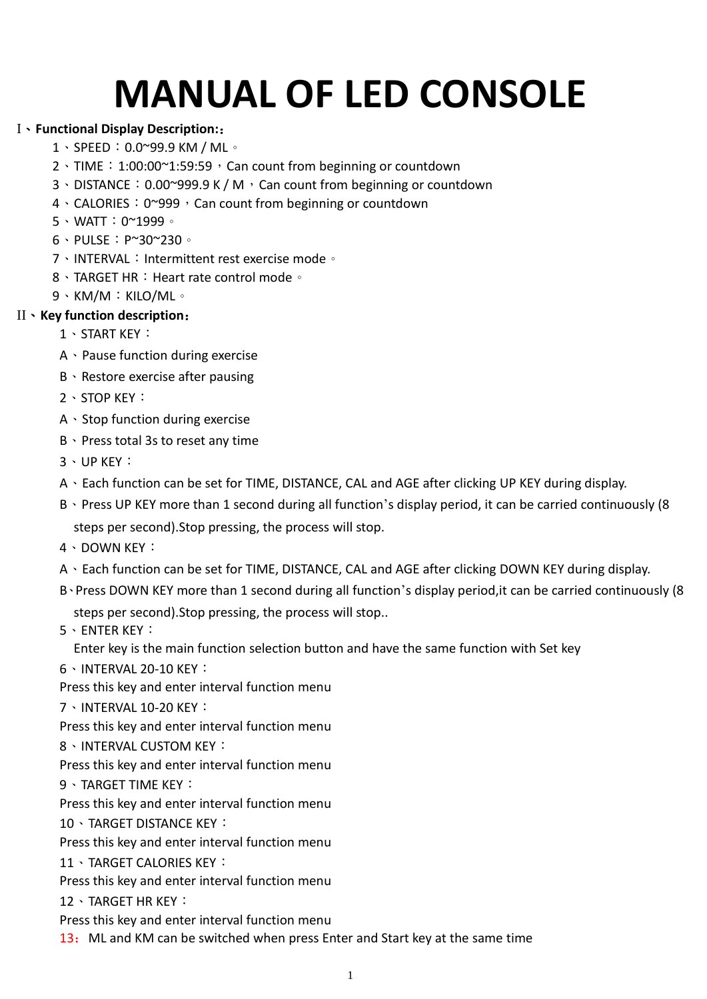# **MANUAL OF LED CONSOLE**

## I、**Functional Display Description:**:

- 1、SPEED:0.0~99.9 KM / ML。
- $2 \cdot$  TIME: 1:00:00~1:59:59, Can count from beginning or countdown
- 3、DISTANCE: 0.00~999.9 K / M, Can count from beginning or countdown
- 4 \ CALORIES: 0~999, Can count from beginning or countdown
- 5、WATT:0~1999。
- 6、PULSE:P~30~230。
- 7、INTERVAL:Intermittent rest exercise mode。
- 8、TARGET HR: Heart rate control mode。
- 9、KM/M:KILO/ML。

## II、**Key function description**:

- 1、START KEY:
- A、Pause function during exercise
- B、Restore exercise after pausing
- 2、STOP KEY:
- A、Stop function during exercise
- B、Press total 3s to reset any time
- 3、UP KEY:
- A、Each function can be set for TIME, DISTANCE, CAL and AGE after clicking UP KEY during display.
- B · Press UP KEY more than 1 second during all function's display period, it can be carried continuously (8) steps per second).Stop pressing, the process will stop.
- 4、DOWN KEY:
- A、Each function can be set for TIME, DISTANCE, CAL and AGE after clicking DOWN KEY during display.
- B、Press DOWN KEY more than 1 second during all function's display period,it can be carried continuously (8 steps per second).Stop pressing, the process will stop..
- 5、ENTER KEY:

Enter key is the main function selection button and have the same function with Set key

- 6、INTERVAL 20-10 KEY:
- Press this key and enter interval function menu
- 7、INTERVAL 10-20 KEY:
- Press this key and enter interval function menu
- 8、INTERVAL CUSTOM KEY:
- Press this key and enter interval function menu
- 9、TARGET TIME KEY:
- Press this key and enter interval function menu
- 10、TARGET DISTANCE KEY:
- Press this key and enter interval function menu
- 11、TARGET CALORIES KEY:
- Press this key and enter interval function menu
- 12、TARGET HR KEY:
- Press this key and enter interval function menu
- 13: ML and KM can be switched when press Enter and Start key at the same time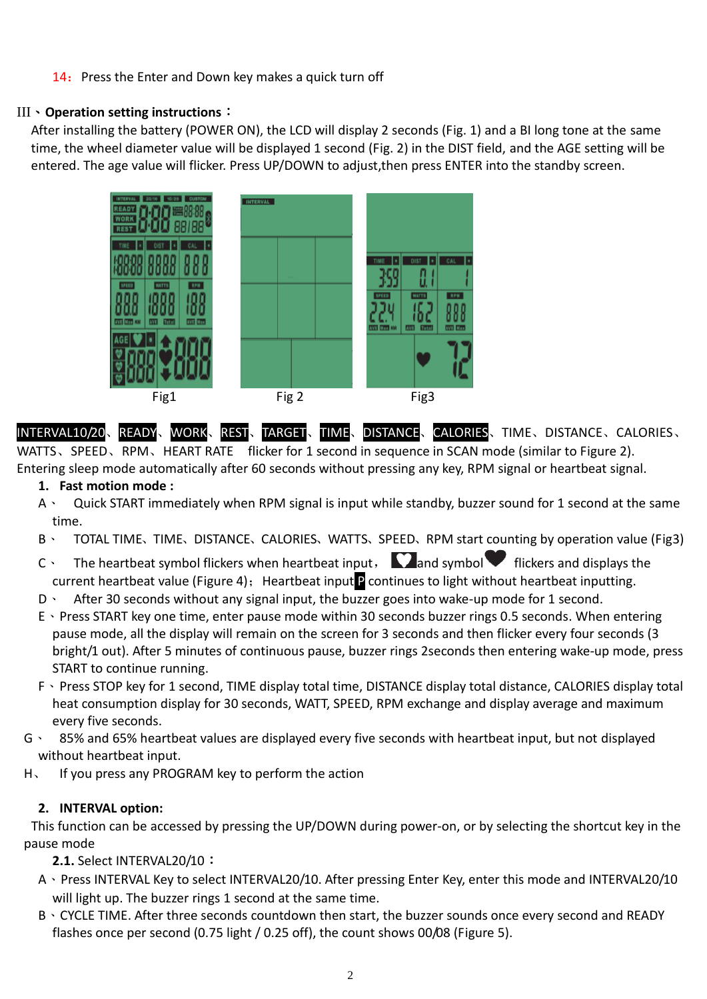#### 14: Press the Enter and Down key makes a quick turn off

#### III、**Operation setting instructions**:

After installing the battery (POWER ON), the LCD will display 2 seconds (Fig. 1) and a BI long tone at the same time, the wheel diameter value will be displayed 1 second (Fig. 2) in the DIST field, and the AGE setting will be entered. The age value will flicker. Press UP/DOWN to adjust,then press ENTER into the standby screen.



INTERVAL10/20、READY、WORK、REST、TARGET、TIME、DISTANCE、CALORIES、TIME、DISTANCE、CALORIES、 WATTS、SPEED、RPM、HEART RATE flicker for 1 second in sequence in SCAN mode (similar to Figure 2). Entering sleep mode automatically after 60 seconds without pressing any key, RPM signal or heartbeat signal.

**1. Fast motion mode :**

- A、 Quick START immediately when RPM signal is input while standby, buzzer sound for 1 second at the same time.
- B、 TOTAL TIME、TIME、DISTANCE、CALORIES、WATTS、SPEED、RPM start counting by operation value (Fig3)
- C  $\cdot$  The heartbeat symbol flickers when heartbeat input,  $\sum$  and symbol  $\blacktriangledown$  flickers and displays the current heartbeat value (Figure 4): Heartbeat input P continues to light without heartbeat inputting.
- D · After 30 seconds without any signal input, the buzzer goes into wake-up mode for 1 second.
- E、Press START key one time, enter pause mode within 30 seconds buzzer rings 0.5 seconds. When entering pause mode, all the display will remain on the screen for 3 seconds and then flicker every four seconds (3 bright/1 out). After 5 minutes of continuous pause, buzzer rings 2seconds then entering wake-up mode, press START to continue running.
- F、Press STOP key for 1 second, TIME display total time, DISTANCE display total distance, CALORIES display total heat consumption display for 30 seconds, WATT, SPEED, RPM exchange and display average and maximum every five seconds.
- G、 85% and 65% heartbeat values are displayed every five seconds with heartbeat input, but not displayed without heartbeat input.
- H、 If you press any PROGRAM key to perform the action

#### **2. INTERVAL option:**

This function can be accessed by pressing the UP/DOWN during power-on, or by selecting the shortcut key in the pause mode

**2.1.** Select INTERVAL20/10:

- A、Press INTERVAL Key to select INTERVAL20/10. After pressing Enter Key, enter this mode and INTERVAL20/10 will light up. The buzzer rings 1 second at the same time.
- B、CYCLE TIME. After three seconds countdown then start, the buzzer sounds once every second and READY flashes once per second (0.75 light / 0.25 off), the count shows 00/08 (Figure 5).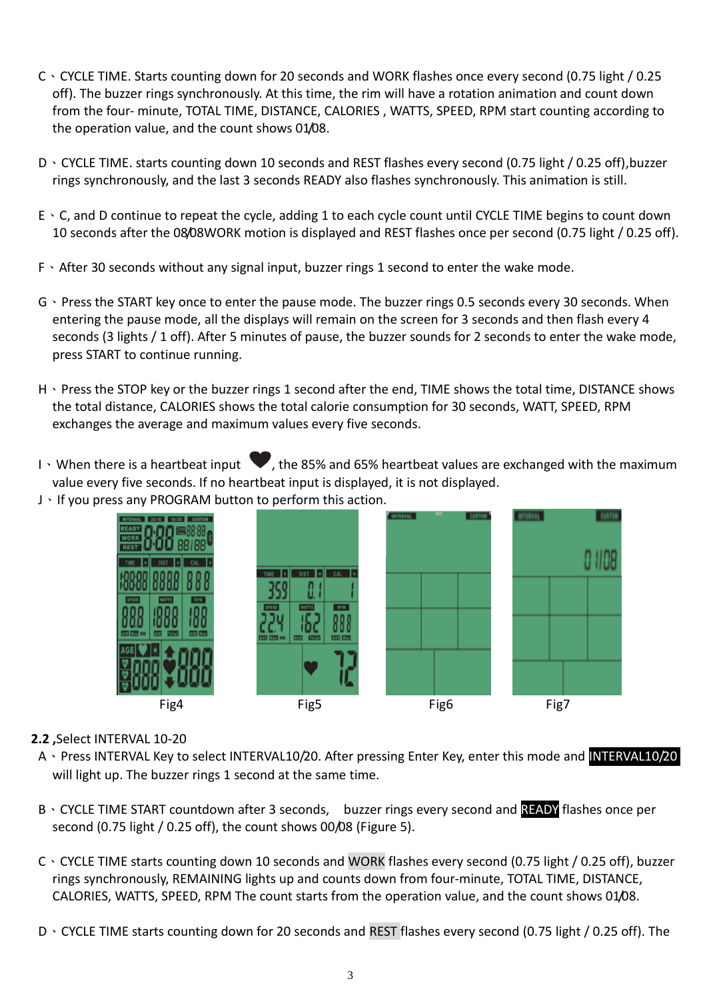- C、CYCLE TIME. Starts counting down for 20 seconds and WORK flashes once every second (0.75 light / 0.25 off). The buzzer rings synchronously. At this time, the rim will have a rotation animation and count down from the four- minute, TOTAL TIME, DISTANCE, CALORIES , WATTS, SPEED, RPM start counting according to the operation value, and the count shows 01/08.
- D、CYCLE TIME. starts counting down 10 seconds and REST flashes every second (0.75 light / 0.25 off),buzzer rings synchronously, and the last 3 seconds READY also flashes synchronously. This animation is still.
- E、C, and D continue to repeat the cycle, adding 1 to each cycle count until CYCLE TIME begins to count down 10 seconds after the 08/08WORK motion is displayed and REST flashes once per second (0.75 light / 0.25 off).
- F、After 30 seconds without any signal input, buzzer rings 1 second to enter the wake mode.
- G、Press the START key once to enter the pause mode. The buzzer rings 0.5 seconds every 30 seconds. When entering the pause mode, all the displays will remain on the screen for 3 seconds and then flash every 4 seconds (3 lights / 1 off). After 5 minutes of pause, the buzzer sounds for 2 seconds to enter the wake mode, press START to continue running.
- H · Press the STOP key or the buzzer rings 1 second after the end, TIME shows the total time, DISTANCE shows the total distance, CALORIES shows the total calorie consumption for 30 seconds, WATT, SPEED, RPM exchanges the average and maximum values every five seconds.
- I  $\cdot$  When there is a heartbeat input  $\blacktriangledown$ , the 85% and 65% heartbeat values are exchanged with the maximum value every five seconds. If no heartbeat input is displayed, it is not displayed.
- J、If you press any PROGRAM button to perform this action.



### **2.2 ,**Select INTERVAL 10-20

- A、Press INTERVAL Key to select INTERVAL10/20. After pressing Enter Key, enter this mode and INTERVAL10/20 will light up. The buzzer rings 1 second at the same time.
- B · CYCLE TIME START countdown after 3 seconds, buzzer rings every second and **READY** flashes once per second (0.75 light / 0.25 off), the count shows 00/08 (Figure 5).
- C、CYCLE TIME starts counting down 10 seconds and WORK flashes every second (0.75 light / 0.25 off), buzzer rings synchronously, REMAINING lights up and counts down from four-minute, TOTAL TIME, DISTANCE, CALORIES, WATTS, SPEED, RPM The count starts from the operation value, and the count shows 01/08.
- D、CYCLE TIME starts counting down for 20 seconds and REST flashes every second (0.75 light / 0.25 off). The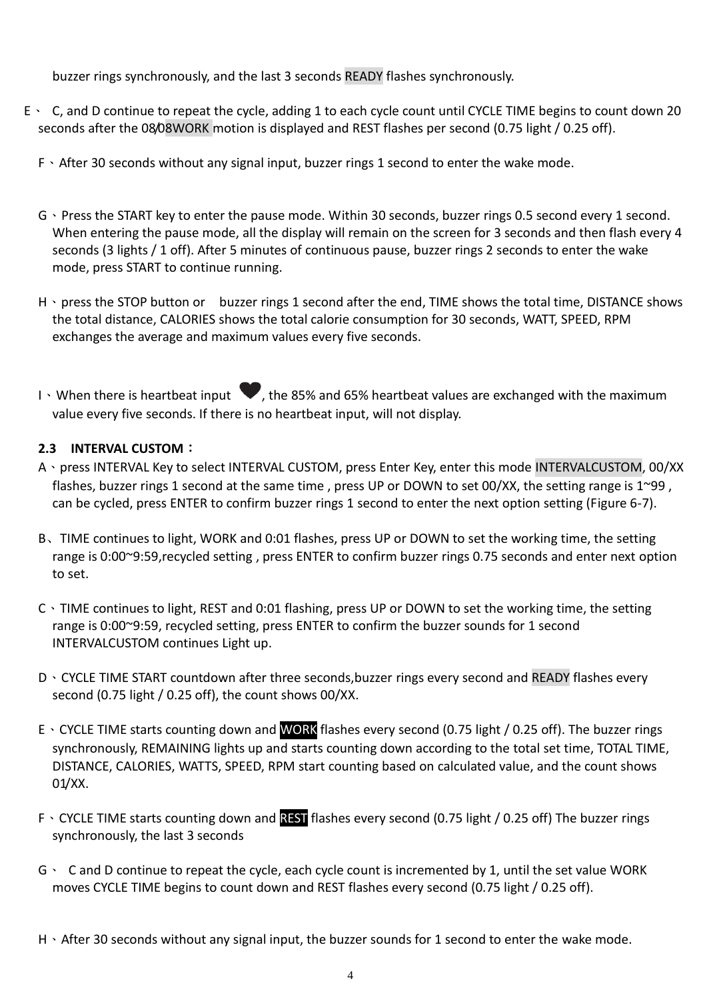buzzer rings synchronously, and the last 3 seconds READY flashes synchronously.

- E、 C, and D continue to repeat the cycle, adding 1 to each cycle count until CYCLE TIME begins to count down 20 seconds after the 08/08WORK motion is displayed and REST flashes per second (0.75 light / 0.25 off).
	- F、After 30 seconds without any signal input, buzzer rings 1 second to enter the wake mode.
	- G、Press the START key to enter the pause mode. Within 30 seconds, buzzer rings 0.5 second every 1 second. When entering the pause mode, all the display will remain on the screen for 3 seconds and then flash every 4 seconds (3 lights / 1 off). After 5 minutes of continuous pause, buzzer rings 2 seconds to enter the wake mode, press START to continue running.
	- H · press the STOP button or buzzer rings 1 second after the end, TIME shows the total time, DISTANCE shows the total distance, CALORIES shows the total calorie consumption for 30 seconds, WATT, SPEED, RPM exchanges the average and maximum values every five seconds.
	- I N When there is heartbeat input  $\blacktriangledown$ , the 85% and 65% heartbeat values are exchanged with the maximum value every five seconds. If there is no heartbeat input, will not display.

#### **2.3 INTERVAL CUSTOM**:

- A、press INTERVAL Key to select INTERVAL CUSTOM, press Enter Key, enter this mode INTERVALCUSTOM, 00/XX flashes, buzzer rings 1 second at the same time, press UP or DOWN to set 00/XX, the setting range is 1~99, can be cycled, press ENTER to confirm buzzer rings 1 second to enter the next option setting (Figure 6-7).
- B、TIME continues to light, WORK and 0:01 flashes, press UP or DOWN to set the working time, the setting range is 0:00~9:59,recycled setting , press ENTER to confirm buzzer rings 0.75 seconds and enter next option to set.
- C、TIME continues to light, REST and 0:01 flashing, press UP or DOWN to set the working time, the setting range is 0:00~9:59, recycled setting, press ENTER to confirm the buzzer sounds for 1 second INTERVALCUSTOM continues Light up.
- D、CYCLE TIME START countdown after three seconds,buzzer rings every second and READY flashes every second (0.75 light / 0.25 off), the count shows 00/XX.
- E、CYCLE TIME starts counting down and WORK flashes every second (0.75 light / 0.25 off). The buzzer rings synchronously, REMAINING lights up and starts counting down according to the total set time, TOTAL TIME, DISTANCE, CALORIES, WATTS, SPEED, RPM start counting based on calculated value, and the count shows 01/XX.
- F · CYCLE TIME starts counting down and **REST** flashes every second (0.75 light / 0.25 off) The buzzer rings synchronously, the last 3 seconds
- G、 C and D continue to repeat the cycle, each cycle count is incremented by 1, until the set value WORK moves CYCLE TIME begins to count down and REST flashes every second (0.75 light / 0.25 off).
- H · After 30 seconds without any signal input, the buzzer sounds for 1 second to enter the wake mode.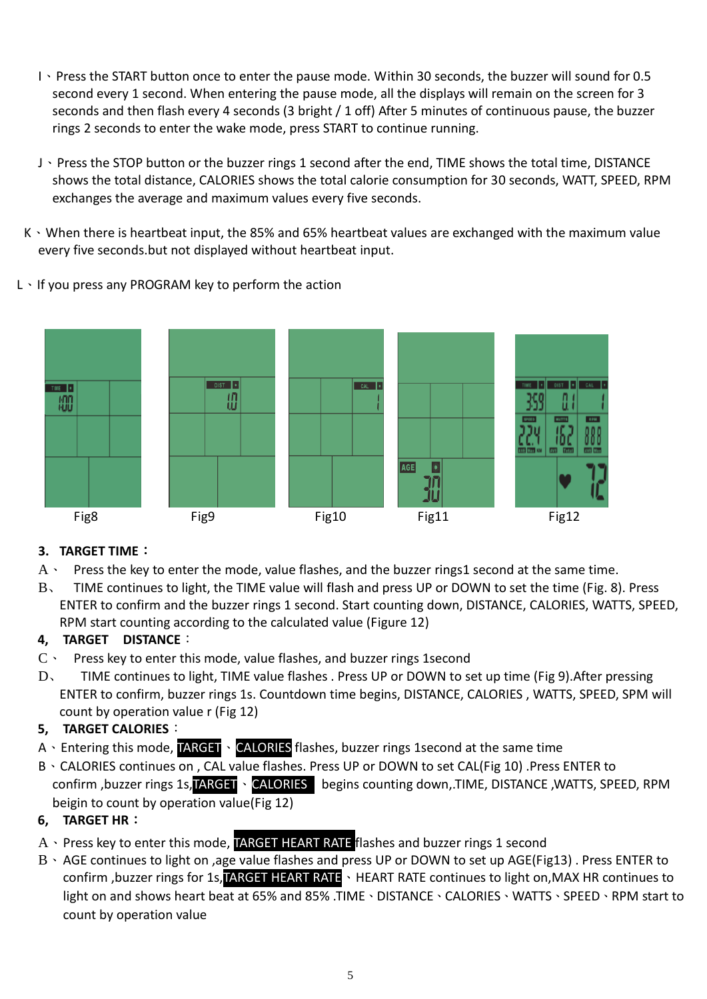- I、Press the START button once to enter the pause mode. Within 30 seconds, the buzzer will sound for 0.5 second every 1 second. When entering the pause mode, all the displays will remain on the screen for 3 seconds and then flash every 4 seconds (3 bright / 1 off) After 5 minutes of continuous pause, the buzzer rings 2 seconds to enter the wake mode, press START to continue running.
- J、Press the STOP button or the buzzer rings 1 second after the end, TIME shows the total time, DISTANCE shows the total distance, CALORIES shows the total calorie consumption for 30 seconds, WATT, SPEED, RPM exchanges the average and maximum values every five seconds.
- K、When there is heartbeat input, the 85% and 65% heartbeat values are exchanged with the maximum value every five seconds.but not displayed without heartbeat input.
- L、If you press any PROGRAM key to perform the action



# **3. TARGET TIME**:

- $A \cdot P$  Press the key to enter the mode, value flashes, and the buzzer rings1 second at the same time.
- B、 TIME continues to light, the TIME value will flash and press UP or DOWN to set the time (Fig. 8). Press ENTER to confirm and the buzzer rings 1 second. Start counting down, DISTANCE, CALORIES, WATTS, SPEED, RPM start counting according to the calculated value (Figure 12)

# **4, TARGET DISTANCE**:

- C、 Press key to enter this mode, value flashes, and buzzer rings 1second
- D、 TIME continues to light, TIME value flashes . Press UP or DOWN to set up time (Fig 9).After pressing ENTER to confirm, buzzer rings 1s. Countdown time begins, DISTANCE, CALORIES , WATTS, SPEED, SPM will count by operation value r (Fig 12)

# **5, TARGET CALORIES**:

- A、Entering this mode, TARGET、CALORIES flashes, buzzer rings 1second at the same time
- B、CALORIES continues on , CAL value flashes. Press UP or DOWN to set CAL(Fig 10) .Press ENTER to confirm ,buzzer rings 1s, TARGET \ CALORIES begins counting down, TIME, DISTANCE , WATTS, SPEED, RPM beigin to count by operation value(Fig 12)

# **6, TARGET HR**:

- A、Press key to enter this mode, TARGET HEART RATE flashes and buzzer rings 1 second
- B、AGE continues to light on ,age value flashes and press UP or DOWN to set up AGE(Fig13) . Press ENTER to confirm ,buzzer rings for 1s, TARGET HEART RATE NEART RATE continues to light on, MAX HR continues to light on and shows heart beat at 65% and 85% .TIME、DISTANCE、CALORIES、WATTS、SPEED、RPM start to count by operation value